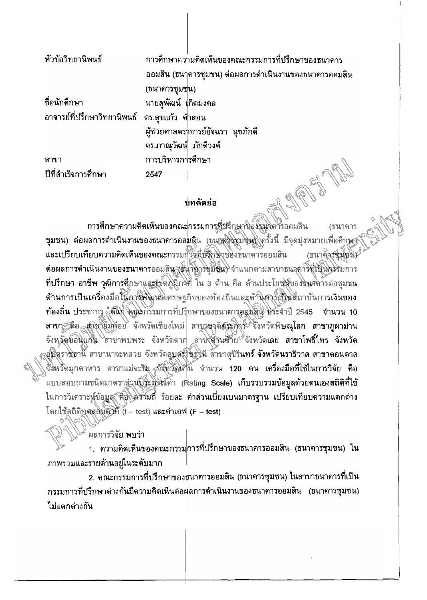| หัวข้อวิทยานิพนธ์                             |                        | การศึกษาความคิดเห็นของคณะกรรมการที่ปรึกษาของธนาคาร     |
|-----------------------------------------------|------------------------|--------------------------------------------------------|
|                                               |                        | ้ออมสิน (ธนาคารชุมชน) ต่อผลการดำเนินงานของธนาคารออมสิน |
|                                               | (ธนาคารชุมชน)          |                                                        |
| ชื่อนักศึกษา                                  | นายสพัฒน์ เกิดมงคล     |                                                        |
| อาจารย์ที่ปรึกษาวิทยานิพนธ์ ดร.สุขแก้ว ค่ำสอน |                        |                                                        |
|                                               |                        | ผู้ช่วยศาสตร $\neg$ จารย์อัจฉรา นุชภักดี               |
|                                               | ดร.ภาณุวัฒน์ ภักดีวงศ์ |                                                        |
| สาขา                                          | การบริหารการศึกษา      |                                                        |
| ปีที่สำเร็จการศึกษา                           | 2547                   |                                                        |

## งเทคัดย่อ

การศึกษาความคิดเห็นของคณะกรรมการที่มีรึกษาของธนุงคารออมสิน (ธนาคาร **ชุมชน) ด่อผลการดำเนินงานของธนาคารออ**บสิน (ธนาคาริมาชิน) ครั้งนี้ มีจุดมุ่งหมายเพื่อศึกษณ์ และเปรียบเทียบความคิดเห็นของคณะกรรมกัวรถุ่งสึกษาของธนาคารออมสิน (ธนาคารชมชน) ต่อผลการดำเนินงานของธนาคารออมสิน (หมายารขุมัชน) จำแนกดามสาขาธนาคารที่เป็นกรรมการ ที่ปรึกษา อาชีพ วุฒิการศึกษาและยู้ขัดภูมิภาค ใน 3 ด้าน คือ ด้านประโยชน์ของชิ้นศึการต่อชุมชน ด้านการเป็นเครื่องมือในการพัฒนาเกศรษฐกิจของท้องถิ่นและด้านค่ารัญในสถาบันการเงินของ ท้องถิ่น ประชากร ได้แก่ คุณะกรรมการที่ปรึกษาของธนาคารออมสิน ประจำปี 2545 ขำนวน 10 สาขา คือ สาขาอ็มทีอย จังหวัดเชียงใหม่ สาขาชาติสระกิจร์ จังหวัดพิษณุโลก สาขาภูผาม่าน จังหวัดข้อนแก่น สาขาพบพระ จังหวัดตาก สาขงตี้วันชั้วยั<sup>ง</sup>จังหวัดเลย สาขาโพธิ์ไทร จังหวัด ;อุบัลราชธานี สาขานาจะหลวย จังหวัดอุบุสรักชิกุษัน สาขาสุขิรินทร์ จังหวัดนราธิวาส สาขาดอนดาล จังหวัดมุกดาหาร สาขาแม่จะริม จังหวัดน้ำน จำนวน 120 คน เครื่องมือที่ใช้ในการวิจัย คือ แบบสอบถามชนิดมาตราส่วนประมิวณค่า (Rating Scale) เก็บรวบรวมข้อมูลด้วยดนเองสถิติที่ใช้ ในการวิเคราะห์ข้อมูล คือ คว้ามถี่ ร้อยละ ค่าส่วนเบี่ยงเบนมาดรฐาน เปรียบเทียบความแตกต่าง โดยใช้สถิติทุตสอบคัวที่ (t - test) และค่าเอฟ (F - test)

ผลการวิจัย **พบว่า** 

1. ความคิดเห็นของคณะกรรม<mark>การที่ปรึกษาของธนาคารออมสิน (ธนาคารชุมชน) ใ</mark>น ภาพรวมและรายด้านอยู่ในระดับมาก

2. คณะกรรมการที่ปรึกษาของธนาคารออมสิน (ธนาคารชุมชน) ในสาขาธนาคารที่เป็น กรรมการที่ปรึกษาด่างกันมีความคิดเห็นด่อผลการดำเนินงานของธนาคารออมสิน (ธนาคารชุมชน) ไม่แดกด่างกัน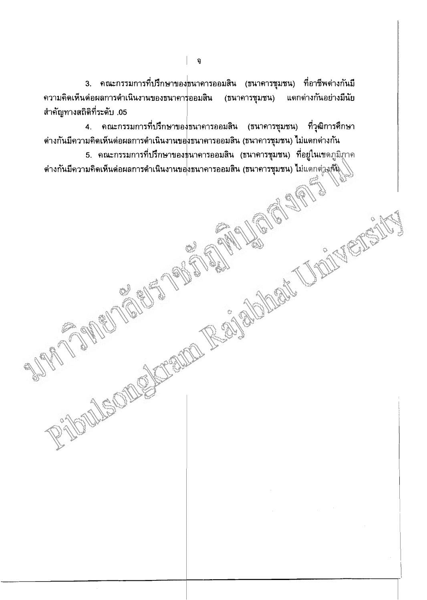่ 3. คณะกรรมการที่ปรึกษาของ<mark>ธนาคารออมสิน (ธนาคารชุมชน) ที่อาชีพต่างกันมี</mark> (ธนาคารชุมชน) ิ์ความคิดเห็นด่อผลการดำเนินงานของธนาคาร่ออมสิน แตกต่างกันอย่างมีนัย ้สำคัญทางสถิติที่ระดับ .05

4. คณะกรรมการที่ปรึกษาของธนาคารออมสิน (ธนาคารชุมชน) ที่วุฒิการศึกษา ี่ ด่างกันมีความคิดเห็นต่อผลการดำเนินงานขอ<mark>งธนาคารออมสิน (ธนาคารชุมชน) ไ</mark>ม่แตกต่างกัน

ี 5. คณะกรรมการที่ปรึกษาของธนาคารออมสิน (ธนาคารชุมชน) ที่อยู่ในเขดภูมิ*ฐ*าค ี ต่างกันมีความคิดเห็นต่อผลการดำเนินงานขอ<mark>งธนาคารออมสิน (ธนาคารชุมชน) ไ</mark>ม่แดกต่<u>วงกัน</u> FAILLE RABBOURG

後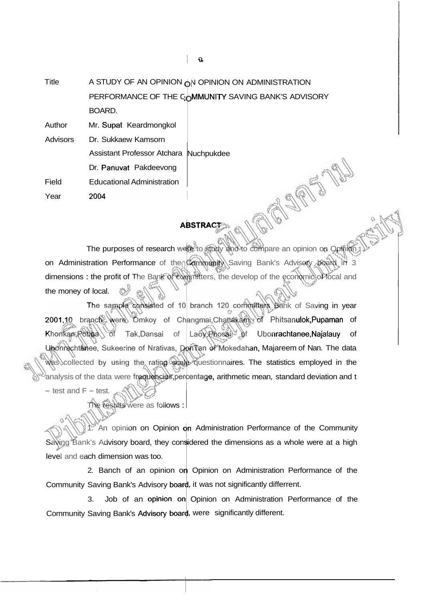**Title** A STUDY OF AN OPINION  $_0$ N OPINION ON ADMINISTRATION PERFORMANCE OF THE COMMUNITY SAVING BANK'S ADVISORY BOARD.

Author Mr. Supat Keardmongkol

Advisors Dr. Sukkaew Kamsorn Assistant Professor Atchara Nuchpukdee Dr. Panuvat Pakdeevong Field Educational Administration Year 2004

## **ABSTRACT**

**OPEN** 

The purposes of research were to study and to compare an opinion on Opinion on Administration Performance of the Community Saving Bank's Advisory board in 3 dimensions : the profit of The Bank of committers, the develop of the economic of local and the money of local.

The sample consisted of 10 branch 120 committers Bank of Saving in year 2001,10 brancte were Omkoy of Changmai, Chattakam of Phitsanulok, Pupaman of Khonkan, Pobpa of Tak,Dansai of Laoy Phosai of Ubonrachtanee, Najalauy of Ubonrechtanee, Sukeerine of Nrativas, Den Tan of Mokedahan, Majareem of Nan. The data  $\aleph$ as collected by using the rating scale questionnaires. The statistics employed in the analysis of the data were frequencies, percentage, arithmetic mean, standard deviation and t

 $-$  test and  $F -$  test.

The results were as follows :

 $\sqrt{\ }$ An opinion on Opinion on Administration Performance of the Community Sawing Bank's Advisory board, they considered the dimensions as a whole were at a high level and each dimension was too.

2. Banch of an opinion on Opinion on Administration Performance of the Community Saving Bank's Advisory board, it was not significantly differrent.

3. Job of an Opinion on Administration Performance of the Community Saving Bank's Advisory board, were significantly different.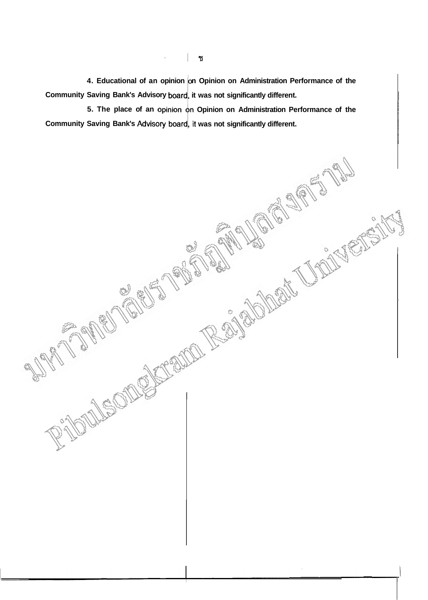4. Educational of an opinion on Opinion on Administration Performance of the **Community Saving Bank's Advisory board, it was not significantly different.** 

**5. The place of an Opinion on Administration Performance of the**  Community Saving Bank's Advisory board, it was not significantly different.

FRANCO REGIONAL TROPICA